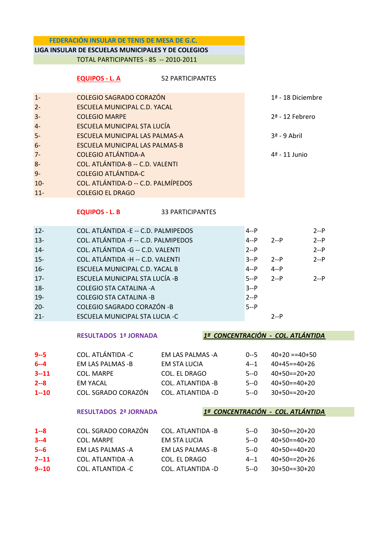### FEDERACIÓN INSULAR DE TENIS DE MESA DE G.C.

# LIGA INSULAR DE ESCUELAS MUNICIPALES Y DE COLEGIOS

TOTAL PARTICIPANTES - 85 -- 2010-2011

# EQUIPOS - L. A 52 PARTICIPANTES

| $1 -$  | <b>COLEGIO SAGRADO CORAZÓN</b>      | 1ª - 18 Diciembre |
|--------|-------------------------------------|-------------------|
| $2 -$  | ESCUELA MUNICIPAL C.D. YACAL        |                   |
| $3-$   | <b>COLEGIO MARPE</b>                | 2ª - 12 Febrero   |
| $4-$   | ESCUELA MUNICIPAL STA LUCÍA         |                   |
| $5-$   | ESCUELA MUNICIPAL LAS PALMAS-A      | $3a$ - 9 Abril    |
| $6-$   | ESCUELA MUNICIPAL LAS PALMAS-B      |                   |
| $7 -$  | <b>COLEGIO ATLÁNTIDA-A</b>          | 4ª - 11 Junio     |
| $8-$   | COL. ATLÁNTIDA-B -- C.D. VALENTI    |                   |
| $9-$   | <b>COLEGIO ATLÁNTIDA-C</b>          |                   |
| $10 -$ | COL. ATLÁNTIDA-D -- C.D. PALMÍPEDOS |                   |
| $11 -$ | <b>COLEGIO EL DRAGO</b>             |                   |

EQUIPOS - L. B 33 PARTICIPANTES

| $12 -$ | COL. ATLÁNTIDA -E -- C.D. PALMIPEDOS | $4 - P$ |         | $2 - P$ |
|--------|--------------------------------------|---------|---------|---------|
| $13 -$ | COL. ATLÁNTIDA -F -- C.D. PALMIPEDOS | $4 - P$ | $2 - P$ | $2-P$   |
| $14-$  | COL. ATLÁNTIDA - G -- C.D. VALENTI   | $2 - P$ |         | $2 - P$ |
| $15 -$ | COL. ATLÁNTIDA -H -- C.D. VALENTI    | $3 - P$ | $2 - P$ | $2 - P$ |
| $16-$  | ESCUELA MUNICIPAL C.D. YACAL B       | $4 - P$ | $4 - P$ |         |
| $17 -$ | ESCUELA MUNICIPAL STA LUCÍA - B      | $5 - P$ | $2 - P$ | $2 - P$ |
| $18 -$ | <b>COLEGIO STA CATALINA -A</b>       | $3 - P$ |         |         |
| $19 -$ | <b>COLEGIO STA CATALINA -B</b>       | $2 - P$ |         |         |
| $20 -$ | <b>COLEGIO SAGRADO CORAZÓN -B</b>    | $5 - P$ |         |         |
| $21 -$ | ESCUELA MUNICIPAL STA LUCIA -C       |         | $2 - P$ |         |

### RESULTADOS 1ª JORNADA 1º CONCENTRACIÓN - COL. ATLÁNTIDA

| $9 - 5$  | COL. ATLÁNTIDA -C   | FM LAS PALMAS -A   | $()--5$ | $40+20 == 40+50$ |
|----------|---------------------|--------------------|---------|------------------|
| $6 - 4$  | FM LAS PALMAS -B    | FM STA LUCIA       | 4--1    | $40+45==40+26$   |
| $3 - 11$ | COL. MARPF          | COL. EL DRAGO      | 5--0    | $40+50==20+20$   |
| $2 - 8$  | <b>FM YACAL</b>     | COL. ATLANTIDA - B | 5--0    | $40+50==40+20$   |
| $1 - 10$ | COL. SGRADO CORAZÓN | COL. ATI ANTIDA -D | $5 - 0$ | $30+50==20+20$   |

RESULTADOS 2ª JORNADA 1º CONCENTRACIÓN - COL. ATLÁNTIDA

| $1 - 8$  | COL. SGRADO CORAZÓN | COL. ATLANTIDA - B | 5--0    | $30+50==20+20$ |
|----------|---------------------|--------------------|---------|----------------|
| $3 - 4$  | COL. MARPF          | FM STA LUCIA       | 5--0    | $40+50==40+20$ |
| $5 - 6$  | EM LAS PALMAS -A    | EM LAS PALMAS -B   | 5--0    | $40+50==40+20$ |
| $7 - 11$ | COL. ATLANTIDA -A   | COL. EL DRAGO      | 4--1    | $40+50==20+26$ |
| $9 - 10$ | COL. ATLANTIDA -C   | COL. ATLANTIDA -D  | $5 - 0$ | $30+50==30+20$ |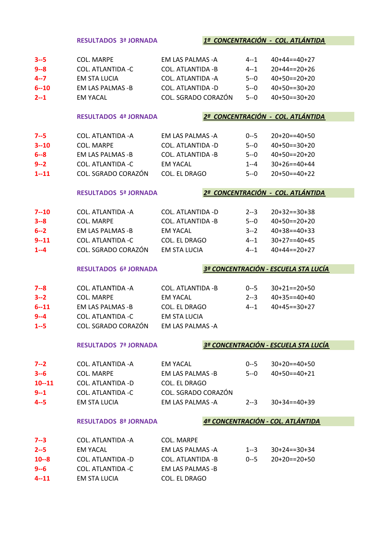|           | <b>RESULTADOS 3ª JORNADA</b> |                          |         | 1ª CONCENTRACIÓN - COL. ATLÁNTIDA    |
|-----------|------------------------------|--------------------------|---------|--------------------------------------|
|           |                              |                          |         |                                      |
| $3 - 5$   | <b>COL. MARPE</b>            | <b>EM LAS PALMAS -A</b>  | $4 - 1$ | $40+44 == 40+27$                     |
| $9 - 8$   | <b>COL. ATLANTIDA -C</b>     | COL. ATLANTIDA - B       | $4 - 1$ | $20+44 == 20+26$                     |
| $4 - 7$   | <b>EM STA LUCIA</b>          | COL. ATLANTIDA - A       | $5 - 0$ | $40+50==20+20$                       |
| $6 - 10$  | <b>EM LAS PALMAS -B</b>      | <b>COL. ATLANTIDA -D</b> | $5 - 0$ | $40+50==30+20$                       |
| $2 - 1$   | <b>EM YACAL</b>              | COL. SGRADO CORAZÓN      | $5 - 0$ | $40+50==30+20$                       |
|           |                              |                          |         |                                      |
|           | <b>RESULTADOS 4ª JORNADA</b> |                          |         | 2ª CONCENTRACIÓN - COL. ATLÁNTIDA    |
| $7 - 5$   | COL. ATLANTIDA - A           | <b>EM LAS PALMAS -A</b>  | $0 - 5$ | $20+20==40+50$                       |
| $3 - 10$  | <b>COL. MARPE</b>            | COL. ATLANTIDA -D        | $5 - 0$ | $40+50==30+20$                       |
| $6 - 8$   | <b>EM LAS PALMAS -B</b>      | <b>COL. ATLANTIDA -B</b> | $5 - 0$ | $40+50==20+20$                       |
| $9 - 2$   | <b>COL. ATLANTIDA -C</b>     | <b>EM YACAL</b>          | 1--4    | $30+26 == 40+44$                     |
| $1 - 11$  | COL. SGRADO CORAZÓN          | COL. EL DRAGO            | $5 - 0$ | $20+50==40+22$                       |
|           |                              |                          |         |                                      |
|           | <b>RESULTADOS 5ª JORNADA</b> |                          |         | 2ª CONCENTRACIÓN - COL. ATLÁNTIDA    |
|           |                              |                          |         |                                      |
| $7 - 10$  | COL. ATLANTIDA - A           | COL. ATLANTIDA -D        | $2 - 3$ | $20+32==30+38$                       |
| $3 - 8$   | <b>COL. MARPE</b>            | <b>COL. ATLANTIDA -B</b> | $5 - 0$ | $40+50==20+20$                       |
| $6 - 2$   | <b>EM LAS PALMAS -B</b>      | <b>EM YACAL</b>          | $3 - 2$ | $40+38 == 40+33$                     |
| $9 - 11$  | <b>COL. ATLANTIDA -C</b>     | COL. EL DRAGO            | 4--1    | $30+27 == 40+45$                     |
| $1 - 4$   | COL. SGRADO CORAZÓN          | <b>EM STA LUCIA</b>      | $4 - 1$ | $40+44 == 20+27$                     |
|           | <b>RESULTADOS 6ª JORNADA</b> |                          |         | 3ª CONCENTRACIÓN - ESCUELA STA LUCÍA |
|           |                              |                          |         |                                      |
| $7 - 8$   | <b>COL. ATLANTIDA - A</b>    | <b>COL. ATLANTIDA -B</b> | $0 - 5$ | $30+21 == 20+50$                     |
| $3 - 2$   | <b>COL. MARPE</b>            | <b>EM YACAL</b>          | $2 - 3$ | $40+35==40+40$                       |
| $6 - 11$  | <b>EM LAS PALMAS -B</b>      | COL. EL DRAGO            | 4--1    | $40+45 == 30+27$                     |
| $9 - 4$   | <b>COL. ATLANTIDA - C</b>    | <b>EM STA LUCIA</b>      |         |                                      |
| $1 - 5$   | COL. SGRADO CORAZÓN          | <b>EM LAS PALMAS -A</b>  |         |                                      |
|           | <b>RESULTADOS 7ª JORNADA</b> |                          |         | 3ª CONCENTRACIÓN - ESCUELA STA LUCÍA |
|           |                              |                          |         |                                      |
| $7 - 2$   | COL. ATLANTIDA -A            | <b>EM YACAL</b>          | $0 - 5$ | $30+20==40+50$                       |
| $3 - 6$   | <b>COL. MARPE</b>            | <b>EM LAS PALMAS -B</b>  | $5 - 0$ | $40+50==40+21$                       |
| $10 - 11$ | COL. ATLANTIDA -D            | COL. EL DRAGO            |         |                                      |
| $9 - 1$   | <b>COL. ATLANTIDA -C</b>     | COL. SGRADO CORAZÓN      |         |                                      |
| $4 - 5$   | EM STA LUCIA                 | <b>EM LAS PALMAS -A</b>  | $2 - 3$ | $30+34==40+39$                       |
|           |                              |                          |         |                                      |
|           | <b>RESULTADOS 8ª JORNADA</b> |                          |         | 4ª CONCENTRACIÓN - COL. ATLÁNTIDA    |
| $7 - 3$   | COL. ATLANTIDA - A           | <b>COL. MARPE</b>        |         |                                      |
| $2 - 5$   | <b>EM YACAL</b>              | EM LAS PALMAS -A         | $1 - 3$ | $30+24 == 30+34$                     |
| $10 - 8$  | COL. ATLANTIDA -D            | COL. ATLANTIDA -B        | $0 - 5$ | $20+20==20+50$                       |
| $9 - 6$   | <b>COL. ATLANTIDA -C</b>     | <b>EM LAS PALMAS -B</b>  |         |                                      |
|           |                              |                          |         |                                      |